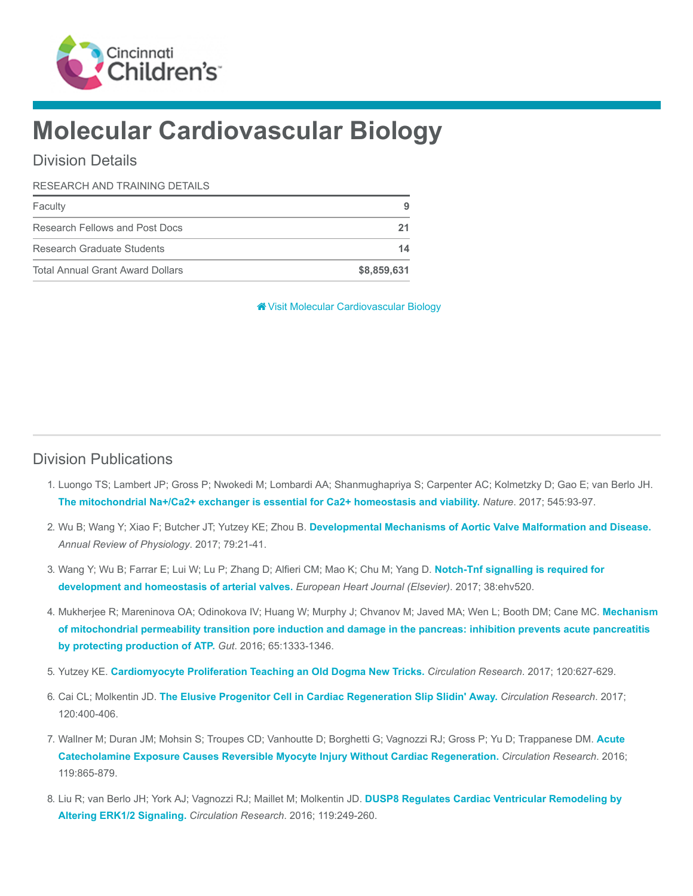

# Molecular Cardiovascular Biology

#### Division Details

#### RESEARCH AND TRAINING DETAILS

| Faculty                                 | 9           |
|-----------------------------------------|-------------|
| Research Fellows and Post Docs          |             |
| Research Graduate Students              | 14          |
| <b>Total Annual Grant Award Dollars</b> | \$8,859,631 |

[Visit Molecular Cardiovascular Biology](https://www.cincinnatichildrens.org/research/divisions/m/mcb)

#### Division Publications

- 1. Luongo TS; Lambert JP; Gross P; Nwokedi M; Lombardi AA; Shanmughapriya S; Carpenter AC; Kolmetzky D; Gao E; van Berlo JH. [The mitochondrial Na+/Ca2+ exchanger is essential for Ca2+ homeostasis and viability.](https://www.ncbi.nlm.nih.gov/pubmed/28445457) Nature. 2017; 545:93-97.
- 2. Wu B; Wang Y; Xiao F; Butcher JT; Yutzey KE; Zhou B. [Developmental Mechanisms of Aortic Valve Malformation and Disease.](https://www.ncbi.nlm.nih.gov/pubmed/27959615) Annual Review of Physiology. 2017; 79:21-41.
- 3. [Wang Y; Wu B; Farrar E; Lui W; Lu P; Zhang D; Alfieri CM; Mao K; Chu M; Yang D.](https://www.ncbi.nlm.nih.gov/pubmed/26491108) Notch-Tnf signalling is required for development and homeostasis of arterial valves. European Heart Journal (Elsevier). 2017; 38:ehv520.
- 4. [Mukherjee R; Mareninova OA; Odinokova IV; Huang W; Murphy J; Chvanov M; Javed MA; Wen L; Booth DM; Cane MC.](https://www.ncbi.nlm.nih.gov/pubmed/26071131) Mechanism of mitochondrial permeability transition pore induction and damage in the pancreas: inhibition prevents acute pancreatitis by protecting production of ATP. Gut. 2016; 65:1333-1346.
- 5. Yutzey KE. [Cardiomyocyte Proliferation Teaching an Old Dogma New Tricks.](https://www.ncbi.nlm.nih.gov/pubmed/28209795) Circulation Research. 2017; 120:627-629.
- 6. Cai CL; Molkentin JD. [The Elusive Progenitor Cell in Cardiac Regeneration Slip Slidin' Away.](https://www.ncbi.nlm.nih.gov/pubmed/28104772) Circulation Research. 2017; 120:400-406.
- 7. [Wallner M; Duran JM; Mohsin S; Troupes CD; Vanhoutte D; Borghetti G; Vagnozzi RJ; Gross P; Yu D; Trappanese DM.](https://www.ncbi.nlm.nih.gov/pubmed/27461939) Acute Catecholamine Exposure Causes Reversible Myocyte Injury Without Cardiac Regeneration. Circulation Research. 2016; 119:865-879.
- 8. [Liu R; van Berlo JH; York AJ; Vagnozzi RJ; Maillet M; Molkentin JD.](https://www.ncbi.nlm.nih.gov/pubmed/27225478) DUSP8 Regulates Cardiac Ventricular Remodeling by Altering ERK1/2 Signaling. Circulation Research. 2016; 119:249-260.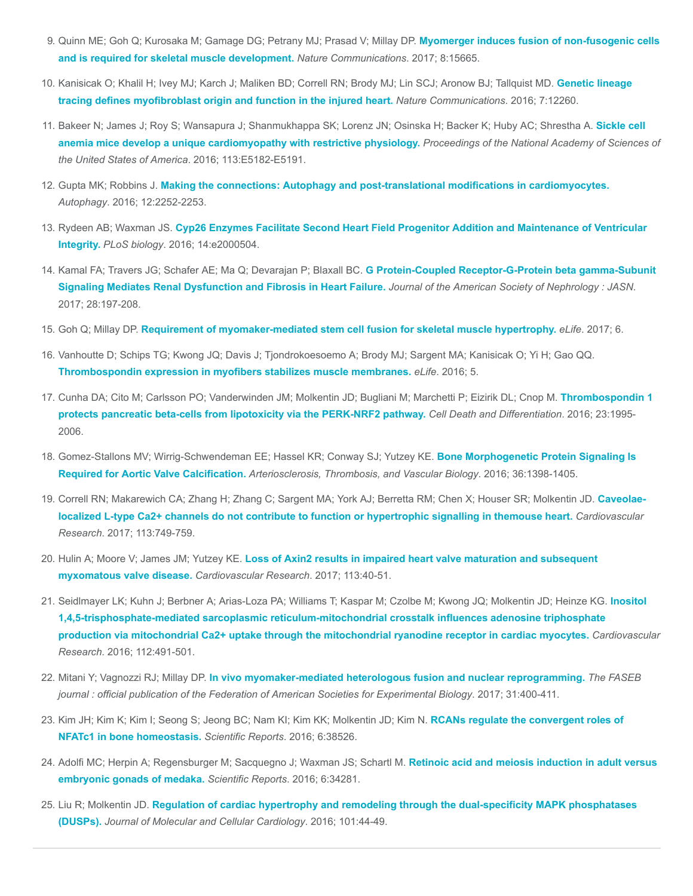- 9. [Quinn ME; Goh Q; Kurosaka M; Gamage DG; Petrany MJ; Prasad V; Millay DP.](https://www.ncbi.nlm.nih.gov/pubmed/28569755) Myomerger induces fusion of non-fusogenic cells and is required for skeletal muscle development. Nature Communications. 2017; 8:15665.
- 10. [Kanisicak O; Khalil H; Ivey MJ; Karch J; Maliken BD; Correll RN; Brody MJ; Lin SCJ; Aronow BJ; Tallquist MD.](https://www.ncbi.nlm.nih.gov/pubmed/27447449) Genetic lineage tracing defines myofibroblast origin and function in the injured heart. Nature Communications. 2016; 7:12260.
- 11. [Bakeer N; James J; Roy S; Wansapura J; Shanmukhappa SK; Lorenz JN; Osinska H; Backer K; Huby AC; Shrestha A.](https://www.ncbi.nlm.nih.gov/pubmed/27503873) Sickle cell anemia mice develop a unique cardiomyopathy with restrictive physiology. Proceedings of the National Academy of Sciences of the United States of America. 2016; 113:E5182-E5191.
- 12. Gupta MK; Robbins J. [Making the connections: Autophagy and post-translational modifications in cardiomyocytes.](https://www.ncbi.nlm.nih.gov/pubmed/27573291) Autophagy. 2016; 12:2252-2253.
- 13. Rydeen AB; Waxman JS. [Cyp26 Enzymes Facilitate Second Heart Field Progenitor Addition and Maintenance of Ventricular](https://www.ncbi.nlm.nih.gov/pubmed/27893754) Integrity. PLoS biology. 2016; 14:e2000504.
- 14. [Kamal FA; Travers JG; Schafer AE; Ma Q; Devarajan P; Blaxall BC.](https://www.ncbi.nlm.nih.gov/pubmed/27297948) G Protein-Coupled Receptor-G-Protein beta gamma-Subunit Signaling Mediates Renal Dysfunction and Fibrosis in Heart Failure. Journal of the American Society of Nephrology : JASN. 2017; 28:197-208.
- 15. Goh Q; Millay DP. [Requirement of myomaker-mediated stem cell fusion for skeletal muscle hypertrophy.](https://www.ncbi.nlm.nih.gov/pubmed/28186492) eLife. 2017; 6.
- 16. Vanhoutte D; Schips TG; Kwong JQ; Davis J; Tjondrokoesoemo A; Brody MJ; Sargent MA; Kanisicak O; Yi H; Gao QQ. [Thrombospondin expression in myofibers stabilizes muscle membranes.](https://www.ncbi.nlm.nih.gov/pubmed/27669143) eLife. 2016; 5.
- 17. [Cunha DA; Cito M; Carlsson PO; Vanderwinden JM; Molkentin JD; Bugliani M; Marchetti P; Eizirik DL; Cnop M.](https://www.ncbi.nlm.nih.gov/pubmed/27588705) Thrombospondin 1 protects pancreatic beta-cells from lipotoxicity via the PERK-NRF2 pathway. Cell Death and Differentiation. 2016; 23:1995-2006.
- 18. [Gomez-Stallons MV; Wirrig-Schwendeman EE; Hassel KR; Conway SJ; Yutzey KE.](https://www.ncbi.nlm.nih.gov/pubmed/27199449) Bone Morphogenetic Protein Signaling Is Required for Aortic Valve Calcification. Arteriosclerosis, Thrombosis, and Vascular Biology. 2016; 36:1398-1405.
- 19. [Correll RN; Makarewich CA; Zhang H; Zhang C; Sargent MA; York AJ; Berretta RM; Chen X; Houser SR; Molkentin JD.](https://www.ncbi.nlm.nih.gov/pubmed/28402392) Caveolaelocalized L-type Ca2+ channels do not contribute to function or hypertrophic signalling in themouse heart. Cardiovascular Research. 2017; 113:749-759.
- 20. Hulin A; Moore V; James JM; Yutzey KE. [Loss of Axin2 results in impaired heart valve maturation and subsequent](https://www.ncbi.nlm.nih.gov/pubmed/28069701) myxomatous valve disease. Cardiovascular Research. 2017; 113:40-51.
- 21. [Seidlmayer LK; Kuhn J; Berbner A; Arias-Loza PA; Williams T; Kaspar M; Czolbe M; Kwong JQ; Molkentin JD; Heinze KG.](https://www.ncbi.nlm.nih.gov/pubmed/27496868) Inositol 1,4,5-trisphosphate-mediated sarcoplasmic reticulum-mitochondrial crosstalk influences adenosine triphosphate production via mitochondrial Ca2+ uptake through the mitochondrial ryanodine receptor in cardiac myocytes. Cardiovascular Research. 2016; 112:491-501.
- 22. Mitani Y; Vagnozzi RJ; Millay DP. [In vivo myomaker-mediated heterologous fusion and nuclear reprogramming.](https://www.ncbi.nlm.nih.gov/pubmed/27825107) The FASEB journal : official publication of the Federation of American Societies for Experimental Biology. 2017; 31:400-411.
- 23. [Kim JH; Kim K; Kim I; Seong S; Jeong BC; Nam KI; Kim KK; Molkentin JD; Kim N.](https://www.ncbi.nlm.nih.gov/pubmed/27917924) RCANs regulate the convergent roles of NFATc1 in bone homeostasis. Scientific Reports. 2016; 6:38526.
- 24. [Adolfi MC; Herpin A; Regensburger M; Sacquegno J; Waxman JS; Schartl M.](https://www.ncbi.nlm.nih.gov/pubmed/27677591) Retinoic acid and meiosis induction in adult versus embryonic gonads of medaka. Scientific Reports. 2016; 6:34281.
- 25. Liu R; Molkentin JD. [Regulation of cardiac hypertrophy and remodeling through the dual-specificity MAPK phosphatases](https://www.ncbi.nlm.nih.gov/pubmed/27575022) (DUSPs). Journal of Molecular and Cellular Cardiology. 2016; 101:44-49.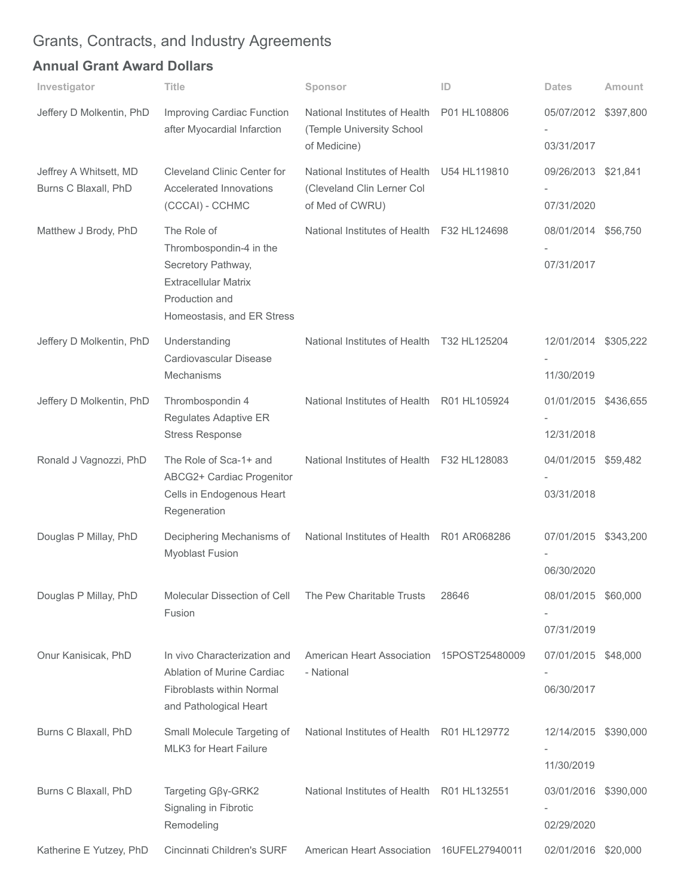## Grants, Contracts, and Industry Agreements

### Annual Grant Award Dollars

| Investigator                                   | <b>Title</b>                                                                                                                                | Sponsor                                                                                     | ID           | <b>Dates</b>                       | <b>Amount</b> |
|------------------------------------------------|---------------------------------------------------------------------------------------------------------------------------------------------|---------------------------------------------------------------------------------------------|--------------|------------------------------------|---------------|
| Jeffery D Molkentin, PhD                       | Improving Cardiac Function<br>after Myocardial Infarction                                                                                   | National Institutes of Health<br>(Temple University School<br>of Medicine)                  | P01 HL108806 | 05/07/2012 \$397,800<br>03/31/2017 |               |
| Jeffrey A Whitsett, MD<br>Burns C Blaxall, PhD | Cleveland Clinic Center for<br>Accelerated Innovations<br>(CCCAI) - CCHMC                                                                   | National Institutes of Health U54 HL119810<br>(Cleveland Clin Lerner Col<br>of Med of CWRU) |              | 09/26/2013 \$21,841<br>07/31/2020  |               |
| Matthew J Brody, PhD                           | The Role of<br>Thrombospondin-4 in the<br>Secretory Pathway,<br><b>Extracellular Matrix</b><br>Production and<br>Homeostasis, and ER Stress | National Institutes of Health F32 HL124698                                                  |              | 08/01/2014 \$56,750<br>07/31/2017  |               |
| Jeffery D Molkentin, PhD                       | Understanding<br>Cardiovascular Disease<br>Mechanisms                                                                                       | National Institutes of Health T32 HL125204                                                  |              | 12/01/2014 \$305,222<br>11/30/2019 |               |
| Jeffery D Molkentin, PhD                       | Thrombospondin 4<br>Regulates Adaptive ER<br><b>Stress Response</b>                                                                         | National Institutes of Health R01 HL105924                                                  |              | 01/01/2015 \$436,655<br>12/31/2018 |               |
| Ronald J Vagnozzi, PhD                         | The Role of Sca-1+ and<br>ABCG2+ Cardiac Progenitor<br>Cells in Endogenous Heart<br>Regeneration                                            | National Institutes of Health F32 HL128083                                                  |              | 04/01/2015 \$59,482<br>03/31/2018  |               |
| Douglas P Millay, PhD                          | Deciphering Mechanisms of<br><b>Myoblast Fusion</b>                                                                                         | National Institutes of Health R01 AR068286                                                  |              | 07/01/2015 \$343,200<br>06/30/2020 |               |
| Douglas P Millay, PhD                          | Molecular Dissection of Cell<br>Fusion                                                                                                      | The Pew Charitable Trusts                                                                   | 28646        | 08/01/2015 \$60,000<br>07/31/2019  |               |
| Onur Kanisicak, PhD                            | In vivo Characterization and<br>Ablation of Murine Cardiac<br>Fibroblasts within Normal<br>and Pathological Heart                           | American Heart Association 15POST25480009<br>- National                                     |              | 07/01/2015 \$48,000<br>06/30/2017  |               |
| Burns C Blaxall, PhD                           | Small Molecule Targeting of<br><b>MLK3</b> for Heart Failure                                                                                | National Institutes of Health R01 HL129772                                                  |              | 12/14/2015 \$390,000<br>11/30/2019 |               |
| Burns C Blaxall, PhD                           | Targeting G <sub>BY</sub> -GRK2<br>Signaling in Fibrotic<br>Remodeling                                                                      | National Institutes of Health R01 HL132551                                                  |              | 03/01/2016 \$390,000<br>02/29/2020 |               |
| Katherine E Yutzey, PhD                        | Cincinnati Children's SURF                                                                                                                  | American Heart Association 16UFEL27940011                                                   |              | 02/01/2016 \$20,000                |               |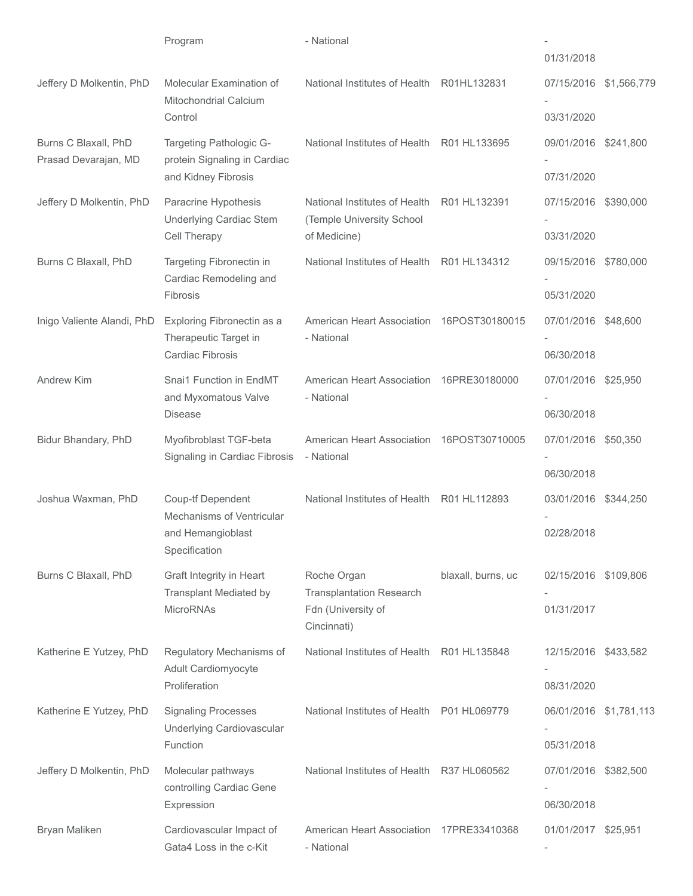|                                              | Program                                                                                     | - National                                                                          |                    | 01/31/2018                         |  |
|----------------------------------------------|---------------------------------------------------------------------------------------------|-------------------------------------------------------------------------------------|--------------------|------------------------------------|--|
| Jeffery D Molkentin, PhD                     | Molecular Examination of<br><b>Mitochondrial Calcium</b>                                    | National Institutes of Health R01HL132831                                           |                    | 07/15/2016 \$1,566,779             |  |
|                                              | Control                                                                                     |                                                                                     |                    | 03/31/2020                         |  |
| Burns C Blaxall, PhD<br>Prasad Devarajan, MD | Targeting Pathologic G-<br>protein Signaling in Cardiac<br>and Kidney Fibrosis              | National Institutes of Health R01 HL133695                                          |                    | 09/01/2016 \$241,800               |  |
|                                              |                                                                                             |                                                                                     |                    | 07/31/2020                         |  |
| Jeffery D Molkentin, PhD                     | Paracrine Hypothesis<br>Underlying Cardiac Stem                                             | National Institutes of Health<br>(Temple University School                          | R01 HL132391       | 07/15/2016 \$390,000               |  |
|                                              | Cell Therapy                                                                                | of Medicine)                                                                        |                    | 03/31/2020                         |  |
| Burns C Blaxall, PhD                         | Targeting Fibronectin in<br>Cardiac Remodeling and<br>Fibrosis                              | National Institutes of Health R01 HL134312                                          |                    | 09/15/2016 \$780,000<br>05/31/2020 |  |
| Inigo Valiente Alandi, PhD                   | Exploring Fibronectin as a<br>Therapeutic Target in                                         | American Heart Association 16POST30180015<br>- National                             |                    | 07/01/2016 \$48,600                |  |
|                                              |                                                                                             |                                                                                     |                    |                                    |  |
|                                              | Cardiac Fibrosis                                                                            |                                                                                     |                    | 06/30/2018                         |  |
| Andrew Kim                                   | Snai1 Function in EndMT<br>and Myxomatous Valve<br><b>Disease</b>                           | American Heart Association<br>- National                                            | 16PRE30180000      | 07/01/2016 \$25,950                |  |
|                                              |                                                                                             |                                                                                     |                    | 06/30/2018                         |  |
| Bidur Bhandary, PhD                          | Myofibroblast TGF-beta<br>Signaling in Cardiac Fibrosis                                     | American Heart Association 16POST30710005<br>- National                             |                    | 07/01/2016 \$50,350                |  |
|                                              |                                                                                             |                                                                                     |                    | 06/30/2018                         |  |
| Joshua Waxman, PhD                           | <b>Coup-tf Dependent</b><br>Mechanisms of Ventricular<br>and Hemangioblast<br>Specification | National Institutes of Health R01 HL112893                                          |                    | 03/01/2016 \$344,250               |  |
|                                              |                                                                                             |                                                                                     |                    | 02/28/2018                         |  |
|                                              |                                                                                             |                                                                                     |                    |                                    |  |
| Burns C Blaxall, PhD                         | Graft Integrity in Heart<br><b>Transplant Mediated by</b><br><b>MicroRNAs</b>               | Roche Organ<br><b>Transplantation Research</b><br>Fdn (University of<br>Cincinnati) | blaxall, burns, uc | 02/15/2016 \$109,806               |  |
|                                              |                                                                                             |                                                                                     |                    | 01/31/2017                         |  |
|                                              |                                                                                             |                                                                                     |                    |                                    |  |
| Katherine E Yutzey, PhD                      | Regulatory Mechanisms of<br>Adult Cardiomyocyte<br>Proliferation                            | National Institutes of Health R01 HL135848                                          |                    | 12/15/2016 \$433,582               |  |
|                                              |                                                                                             |                                                                                     |                    | 08/31/2020                         |  |
| Katherine E Yutzey, PhD                      | <b>Signaling Processes</b><br>Underlying Cardiovascular<br>Function                         | National Institutes of Health P01 HL069779                                          |                    | 06/01/2016 \$1,781,113             |  |
|                                              |                                                                                             |                                                                                     |                    | 05/31/2018                         |  |
| Jeffery D Molkentin, PhD                     | Molecular pathways<br>controlling Cardiac Gene<br>Expression                                | National Institutes of Health R37 HL060562                                          |                    | 07/01/2016 \$382,500               |  |
|                                              |                                                                                             |                                                                                     |                    | 06/30/2018                         |  |
| Bryan Maliken                                | Cardiovascular Impact of<br>Gata4 Loss in the c-Kit                                         | American Heart Association 17PRE33410368<br>- National                              |                    | 01/01/2017 \$25,951                |  |
|                                              |                                                                                             |                                                                                     |                    |                                    |  |